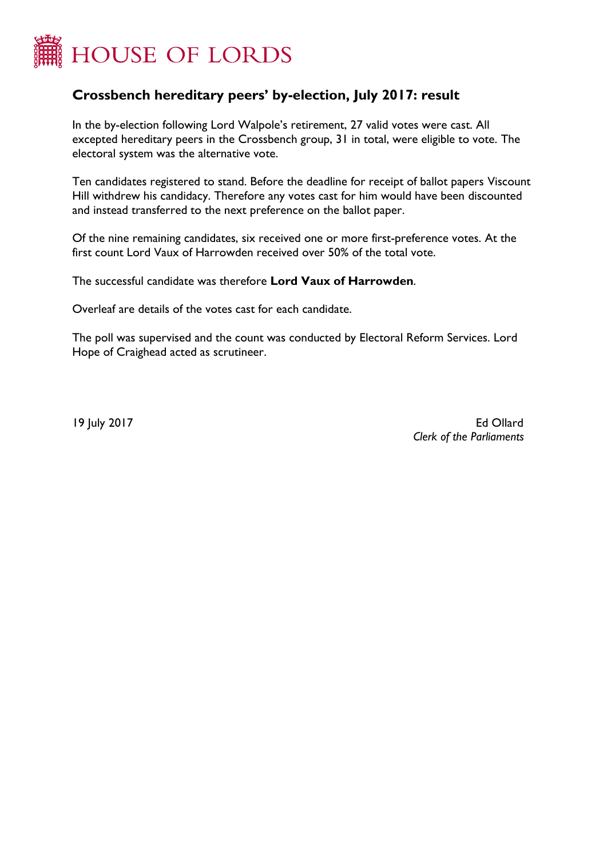

## **Crossbench hereditary peers' by-election, July 2017: result**

In the by-election following Lord Walpole's retirement, 27 valid votes were cast. All excepted hereditary peers in the Crossbench group, 31 in total, were eligible to vote. The electoral system was the alternative vote.

Ten candidates registered to stand. Before the deadline for receipt of ballot papers Viscount Hill withdrew his candidacy. Therefore any votes cast for him would have been discounted and instead transferred to the next preference on the ballot paper.

Of the nine remaining candidates, six received one or more first-preference votes. At the first count Lord Vaux of Harrowden received over 50% of the total vote.

The successful candidate was therefore **Lord Vaux of Harrowden**.

Overleaf are details of the votes cast for each candidate.

The poll was supervised and the count was conducted by Electoral Reform Services. Lord Hope of Craighead acted as scrutineer.

19 July 2017 Ed Ollard  *Clerk of the Parliaments*